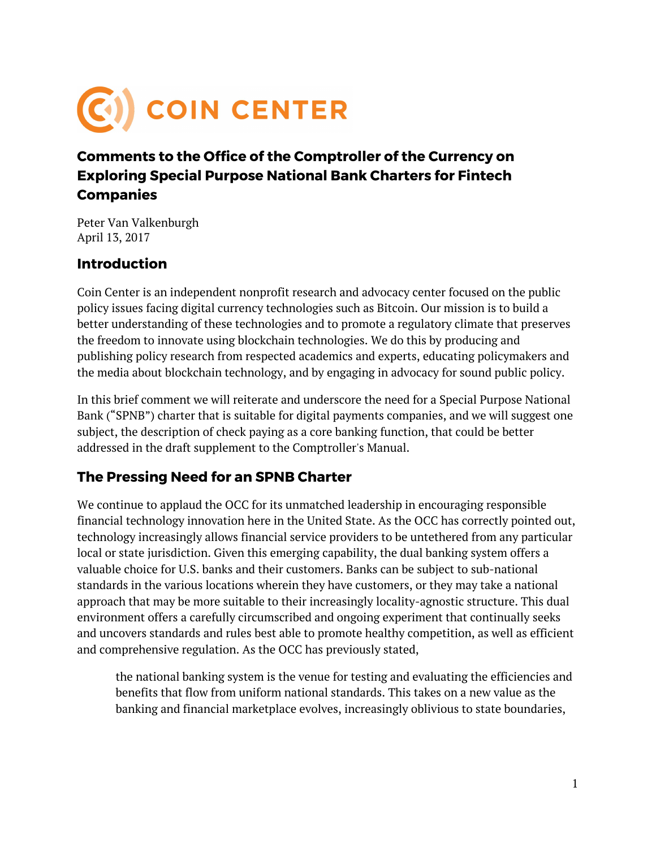

## **Comments to the Office of the Comptroller of the Currency on Exploring Special Purpose National Bank Charters for Fintech Companies**

Peter Van Valkenburgh April 13, 2017

## **Introduction**

Coin Center is an independent nonprofit research and advocacy center focused on the public policy issues facing digital currency technologies such as Bitcoin. Our mission is to build a better understanding of these technologies and to promote a regulatory climate that preserves the freedom to innovate using blockchain technologies. We do this by producing and publishing policy research from respected academics and experts, educating policymakers and the media about blockchain technology, and by engaging in advocacy for sound public policy.

In this brief comment we will reiterate and underscore the need for a Special Purpose National Bank ("SPNB") charter that is suitable for digital payments companies, and we will suggest one subject, the description of check paying as a core banking function, that could be better addressed in the draft supplement to the Comptroller's Manual.

## **The Pressing Need for an SPNB Charter**

We continue to applaud the OCC for its unmatched leadership in encouraging responsible financial technology innovation here in the United State. As the OCC has correctly pointed out, technology increasingly allows financial service providers to be untethered from any particular local or state jurisdiction. Given this emerging capability, the dual banking system offers a valuable choice for U.S. banks and their customers. Banks can be subject to sub-national standards in the various locations wherein they have customers, or they may take a national approach that may be more suitable to their increasingly locality-agnostic structure. This dual environment offers a carefully circumscribed and ongoing experiment that continually seeks and uncovers standards and rules best able to promote healthy competition, as well as efficient and comprehensive regulation. As the OCC has previously stated,

the national banking system is the venue for testing and evaluating the efficiencies and benefits that flow from uniform national standards. This takes on a new value as the banking and financial marketplace evolves, increasingly oblivious to state boundaries,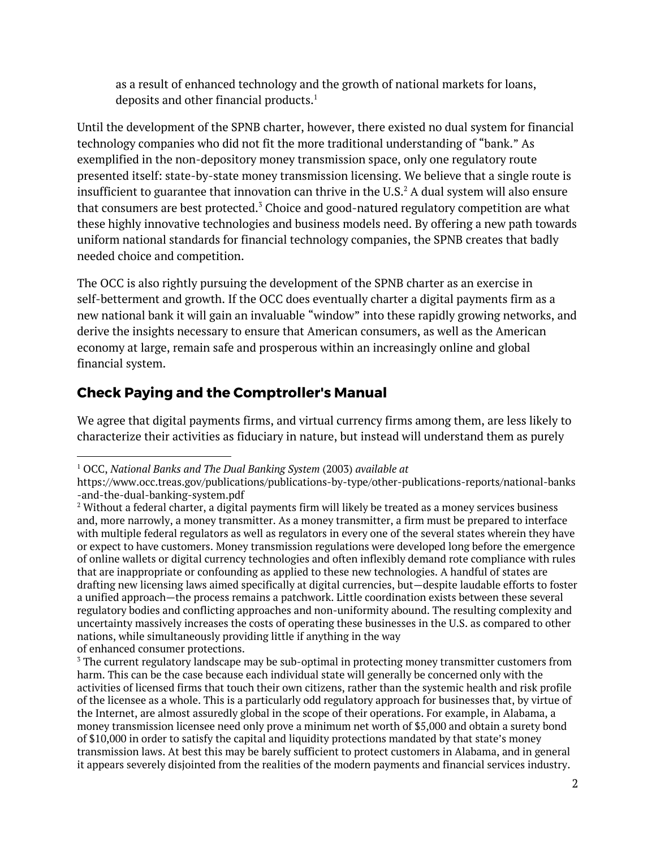as a result of enhanced technology and the growth of national markets for loans, deposits and other financial products. $^1$ 

Until the development of the SPNB charter, however, there existed no dual system for financial technology companies who did not fit the more traditional understanding of "bank." As exemplified in the non-depository money transmission space, only one regulatory route presented itself: state-by-state money transmission licensing. We believe that a single route is insufficient to guarantee that innovation can thrive in the U.S. $^2$  A dual system will also ensure that consumers are best protected. $^3$  Choice and good-natured regulatory competition are what these highly innovative technologies and business models need. By offering a new path towards uniform national standards for financial technology companies, the SPNB creates that badly needed choice and competition.

The OCC is also rightly pursuing the development of the SPNB charter as an exercise in self-betterment and growth. If the OCC does eventually charter a digital payments firm as a new national bank it will gain an invaluable "window" into these rapidly growing networks, and derive the insights necessary to ensure that American consumers, as well as the American economy at large, remain safe and prosperous within an increasingly online and global financial system.

## **Check Paying and the Comptroller's Manual**

We agree that digital payments firms, and virtual currency firms among them, are less likely to characterize their activities as fiduciary in nature, but instead will understand them as purely

<sup>1</sup> OCC, *National Banks and The Dual Banking System* (2003) *available at*

https://www.occ.treas.gov/publications/publications-by-type/other-publications-reports/national-banks -and-the-dual-banking-system.pdf

<sup>&</sup>lt;sup>2</sup> Without a federal charter, a digital payments firm will likely be treated as a money services business and, more narrowly, a money transmitter. As a money transmitter, a firm must be prepared to interface with multiple federal regulators as well as regulators in every one of the several states wherein they have or expect to have customers. Money transmission regulations were developed long before the emergence of online wallets or digital currency technologies and often inflexibly demand rote compliance with rules that are inappropriate or confounding as applied to these new technologies. A handful of states are drafting new licensing laws aimed specifically at digital currencies, but—despite laudable efforts to foster a unified approach—the process remains a patchwork. Little coordination exists between these several regulatory bodies and conflicting approaches and non-uniformity abound. The resulting complexity and uncertainty massively increases the costs of operating these businesses in the U.S. as compared to other nations, while simultaneously providing little if anything in the way of enhanced consumer protections.

<sup>&</sup>lt;sup>3</sup> The current regulatory landscape may be sub-optimal in protecting money transmitter customers from harm. This can be the case because each individual state will generally be concerned only with the activities of licensed firms that touch their own citizens, rather than the systemic health and risk profile of the licensee as a whole. This is a particularly odd regulatory approach for businesses that, by virtue of the Internet, are almost assuredly global in the scope of their operations. For example, in Alabama, a money transmission licensee need only prove a minimum net worth of \$5,000 and obtain a surety bond of \$10,000 in order to satisfy the capital and liquidity protections mandated by that state's money transmission laws. At best this may be barely sufficient to protect customers in Alabama, and in general it appears severely disjointed from the realities of the modern payments and financial services industry.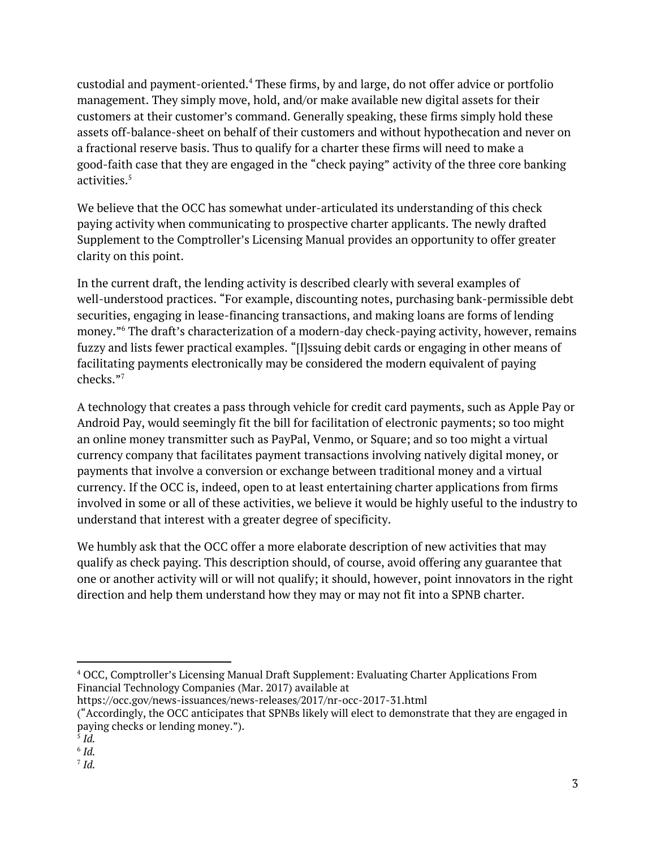custodial and payment-oriented. $<sup>4</sup>$  These firms, by and large, do not offer advice or portfolio</sup> management. They simply move, hold, and/or make available new digital assets for their customers at their customer's command. Generally speaking, these firms simply hold these assets off-balance-sheet on behalf of their customers and without hypothecation and never on a fractional reserve basis. Thus to qualify for a charter these firms will need to make a good-faith case that they are engaged in the "check paying" activity of the three core banking activities. 5

We believe that the OCC has somewhat under-articulated its understanding of this check paying activity when communicating to prospective charter applicants. The newly drafted Supplement to the Comptroller's Licensing Manual provides an opportunity to offer greater clarity on this point.

In the current draft, the lending activity is described clearly with several examples of well-understood practices. "For example, discounting notes, purchasing bank-permissible debt securities, engaging in lease-financing transactions, and making loans are forms of lending money."<sup>6</sup> The draft's characterization of a modern-day check-paying activity, however, remains fuzzy and lists fewer practical examples. "[I]ssuing debit cards or engaging in other means of facilitating payments electronically may be considered the modern equivalent of paying checks." 7

A technology that creates a pass through vehicle for credit card payments, such as Apple Pay or Android Pay, would seemingly fit the bill for facilitation of electronic payments; so too might an online money transmitter such as PayPal, Venmo, or Square; and so too might a virtual currency company that facilitates payment transactions involving natively digital money, or payments that involve a conversion or exchange between traditional money and a virtual currency. If the OCC is, indeed, open to at least entertaining charter applications from firms involved in some or all of these activities, we believe it would be highly useful to the industry to understand that interest with a greater degree of specificity.

We humbly ask that the OCC offer a more elaborate description of new activities that may qualify as check paying. This description should, of course, avoid offering any guarantee that one or another activity will or will not qualify; it should, however, point innovators in the right direction and help them understand how they may or may not fit into a SPNB charter.

https://occ.gov/news-issuances/news-releases/2017/nr-occ-2017-31.html

<sup>4</sup> OCC, Comptroller's Licensing Manual Draft Supplement: Evaluating Charter Applications From Financial Technology Companies (Mar. 2017) available at

<sup>(&</sup>quot;Accordingly, the OCC anticipates that SPNBs likely will elect to demonstrate that they are engaged in paying checks or lending money.").

<sup>5</sup> *Id.*

<sup>6</sup> *Id.*

<sup>7</sup> *Id.*